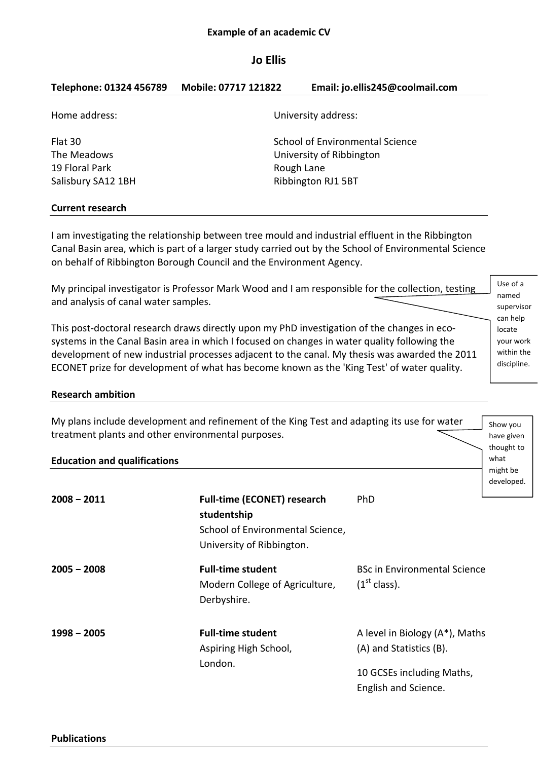# **Example of an academic CV**

# **Jo Ellis**

| Telephone: 01324 456789 | Mobile: 07717 121822 | Email: jo.ellis245@coolmail.com |
|-------------------------|----------------------|---------------------------------|
| Home address:           |                      | University address:             |
| Flat 30                 |                      | School of Environmental Science |
| The Meadows             |                      | University of Ribbington        |
| 19 Floral Park          |                      | Rough Lane                      |
| Salisbury SA12 1BH      |                      | Ribbington RJ1 5BT              |
|                         |                      |                                 |
|                         |                      |                                 |

# **Current research**

I am investigating the relationship between tree mould and industrial effluent in the Ribbington Canal Basin area, which is part of a larger study carried out by the School of Environmental Science on behalf of Ribbington Borough Council and the Environment Agency.

My principal investigator is Professor Mark Wood and I am responsible for the collection, testing and analysis of canal water samples.

Use of a named supervisor can help locate your work within the discipline.

Show you have given thought to what might be developed.

This post-doctoral research draws directly upon my PhD investigation of the changes in ecosystems in the Canal Basin area in which I focused on changes in water quality following the development of new industrial processes adjacent to the canal. My thesis was awarded the 2011 ECONET prize for development of what has become known as the 'King Test' of water quality.

# **Research ambition**

My plans include development and refinement of the King Test and adapting its use for water treatment plants and other environmental purposes.

# **Education and qualifications**

| $2008 - 2011$ | <b>Full-time (ECONET) research</b><br>studentship<br>School of Environmental Science,<br>University of Ribbington. | <b>PhD</b>                                                                                                     |  |
|---------------|--------------------------------------------------------------------------------------------------------------------|----------------------------------------------------------------------------------------------------------------|--|
| $2005 - 2008$ | <b>Full-time student</b><br>Modern College of Agriculture,<br>Derbyshire.                                          | <b>BSc in Environmental Science</b><br>(1 <sup>st</sup> class).                                                |  |
| 1998 - 2005   | <b>Full-time student</b><br>Aspiring High School,<br>London.                                                       | A level in Biology (A*), Maths<br>(A) and Statistics (B).<br>10 GCSEs including Maths,<br>English and Science. |  |